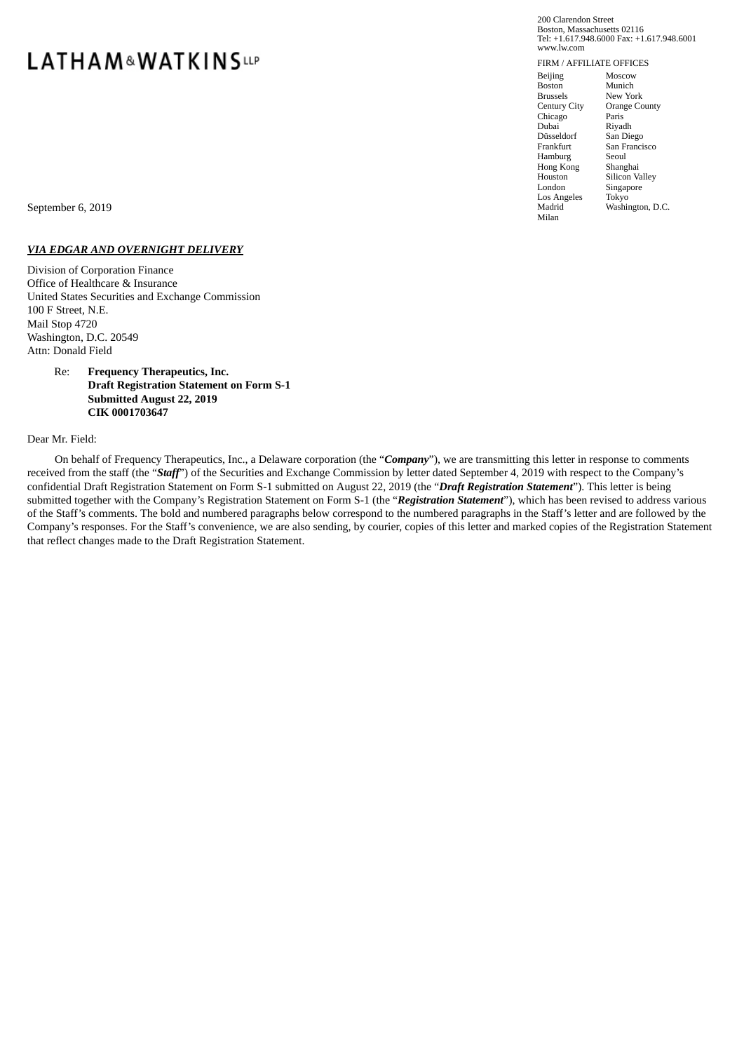# **LATHAM&WATKINSLIP**

200 Clarendon Street Boston, Massachusetts 02116 Tel: +1.617.948.6000 Fax: +1.617.948.6001 www.lw.com

FIRM / AFFILIATE OFFICES Beijing Boston Brussels Century City Chicago Dubai Düsseldorf Frankfurt Hamburg Hong Kong Houston London Los Angeles Madrid Milan Moscow Munich New York Orange County Paris<sup>®</sup> Riyadh San Diego San Francisco Seoul Shanghai Silicon Valley Singapore Tokyo Washington, D.C.

September 6, 2019

# *VIA EDGAR AND OVERNIGHT DELIVERY*

Division of Corporation Finance Office of Healthcare & Insurance United States Securities and Exchange Commission 100 F Street, N.E. Mail Stop 4720 Washington, D.C. 20549 Attn: Donald Field

## Re: **Frequency Therapeutics, Inc. Draft Registration Statement on Form S-1 Submitted August 22, 2019 CIK 0001703647**

#### Dear Mr. Field:

On behalf of Frequency Therapeutics, Inc., a Delaware corporation (the "*Company*"), we are transmitting this letter in response to comments received from the staff (the "*Staff*") of the Securities and Exchange Commission by letter dated September 4, 2019 with respect to the Company's confidential Draft Registration Statement on Form S-1 submitted on August 22, 2019 (the "*Draft Registration Statement*"). This letter is being submitted together with the Company's Registration Statement on Form S-1 (the "*Registration Statement*"), which has been revised to address various of the Staff's comments. The bold and numbered paragraphs below correspond to the numbered paragraphs in the Staff's letter and are followed by the Company's responses. For the Staff's convenience, we are also sending, by courier, copies of this letter and marked copies of the Registration Statement that reflect changes made to the Draft Registration Statement.